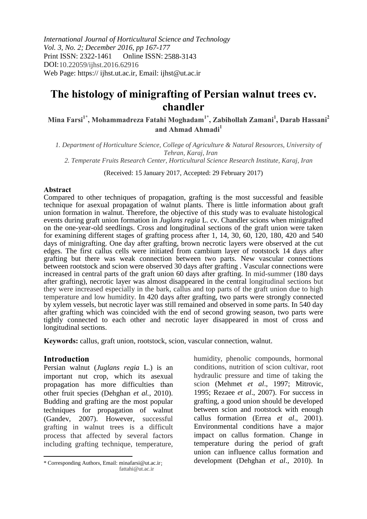*International Journal of Horticultural Science and Technology Vol. 3, No. 2; December 2016, pp 167-177* Print ISSN: 2322-1461 DOI: 10.22059/ijhst.2016.62916 Web Page: https:// ijhst.ut.ac.ir, Email: ijhst@ut.ac.ir Online ISSN: 2588-3143

# **The histology of minigrafting of Persian walnut trees cv. chandler**

**Mina Farsi1\*, Mohammadreza Fatahi Moghadam1\*, Zabihollah Zamani<sup>1</sup> , Darab Hassani<sup>2</sup> and Ahmad Ahmadi<sup>1</sup>**

*1. Department of Horticulture Science, College of Agriculture & Natural Resources, University of Tehran, Karaj, Iran 2. Temperate Fruits Research Center, Horticultural Science Research Institute, Karaj, Iran*

(Received: 15 January 2017, Accepted: 29 February 2017)

#### **Abstract**

Compared to other techniques of propagation, grafting is the most successful and feasible technique for asexual propagation of walnut plants. There is little information about graft union formation in walnut. Therefore, the objective of this study was to evaluate histological events during graft union formation in *Juglans regia* L. cv. Chandler scions when minigrafted on the one-year-old seedlings. Cross and longitudinal sections of the graft union were taken for examining different stages of grafting process after 1, 14, 30, 60, 120, 180, 420 and 540 days of minigrafting. One day after grafting, brown necrotic layers were observed at the cut edges. The first callus cells were initiated from cambium layer of rootstock 14 days after grafting but there was weak connection between two parts. New vascular connections between rootstock and scion were observed 30 days after grafting. Vascular connections were increased in central parts of the graft union 60 days after grafting. In mid-summer (180 days after grafting), necrotic layer was almost disappeared in the central longitudinal sections but they were increased especially in the bark, callus and top parts of the graft union due to high temperature and low humidity. In 420 days after grafting, two parts were strongly connected by xylem vessels, but necrotic layer was still remained and observed in some parts. In 540 day after grafting which was coincided with the end of second growing season, two parts were tightly connected to each other and necrotic layer disappeared in most of cross and longitudinal sections.

**Keywords:** callus, graft union, rootstock, scion, vascular connection, walnut.

# **Introduction**

Persian walnut (*Juglans regia* L.) is an important nut crop, which its asexual propagation has more difficulties than other fruit species (Dehghan *et al.,* 2010). Budding and grafting are the most popular techniques for propagation of walnut (Gandev, 2007). However, successful grafting in walnut trees is a difficult process that affected by several factors including grafting technique, temperature,

humidity, phenolic compounds, hormonal conditions, nutrition of scion cultivar, root hydraulic pressure and time of taking the scion (Mehmet *et al*., 1997; Mitrovic, 1995; Rezaee *et al*., 2007). For success in grafting, a good union should be developed between scion and rootstock with enough callus formation (Errea *et al*., 2001). Environmental conditions have a major impact on callus formation. Change in temperature during the period of graft union can influence callus formation and development (Dehghan *et al*., 2010). In

<sup>\*</sup> Corresponding Authors, Email: minafarsi@ut.ac.ir ; fattahi@ut.ac.ir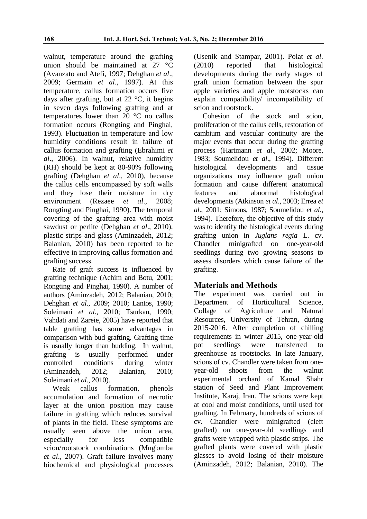walnut, temperature around the grafting union should be maintained at 27 °C (Avanzato and Atefi, 1997; Dehghan *et al*., 2009; Germain *et al*., 1997). At this temperature, callus formation occurs five days after grafting, but at  $22 \degree C$ , it begins in seven days following grafting and at temperatures lower than 20 °C no callus formation occurs (Rongting and Pinghai, 1993). Fluctuation in temperature and low humidity conditions result in failure of callus formation and grafting (Ebrahimi *et al*., 2006). In walnut, relative humidity (RH) should be kept at 80-90% following grafting (Dehghan *et al*., 2010), because the callus cells encompassed by soft walls and they lose their moisture in dry environment (Rezaee *et al*., 2008; Rongting and Pinghai, 1990). The temporal covering of the grafting area with moist sawdust or perlite (Dehghan *et al*., 2010), plastic strips and glass (Aminzadeh, 2012; Balanian, 2010) has been reported to be effective in improving callus formation and grafting success.

Rate of graft success is influenced by grafting technique (Achim and Botu, 2001; Rongting and Pinghai, 1990). A number of authors (Aminzadeh, 2012; Balanian, 2010; Dehghan *et al*., 2009; 2010; Lantos, 1990; Soleimani *et al*., 2010; Tsurkan, 1990; Vahdati and Zareie, 2005) have reported that table grafting has some advantages in comparison with bud grafting. Grafting time is usually longer than budding. In walnut, grafting is usually performed under controlled conditions during winter (Aminzadeh, 2012; Balanian, 2010; Soleimani *et al*., 2010).

Weak callus formation, phenols accumulation and formation of necrotic layer at the union position may cause failure in grafting which reduces survival of plants in the field. These symptoms are usually seen above the union area, especially for less compatible scion/rootstock combinations (Mng'omba *et al*., 2007). Graft failure involves many biochemical and physiological processes

(Usenik and Stampar, 2001). Polat *et al*. (2010) reported that histological developments during the early stages of graft union formation between the spur apple varieties and apple rootstocks can explain compatibility/ incompatibility of scion and rootstock.

Cohesion of the stock and scion, proliferation of the callus cells, restoration of cambium and vascular continuity are the major events that occur during the grafting process (Hartmann *et al*., 2002; Moore, 1983; Soumelidou *et al*., 1994). Different histological developments and tissue organizations may influence graft union formation and cause different anatomical features and abnormal histological developments (Atkinson *et al*., 2003; Errea *et al*., 2001; Simons, 1987; Soumelidou *et al*., 1994). Therefore, the objective of this study was to identify the histological events during grafting union in *Juglans regia* L. cv. Chandler minigrafted on one-year-old seedlings during two growing seasons to assess disorders which cause failure of the grafting.

# **Materials and Methods**

The experiment was carried out in Department of Horticultural Science, Collage of Agriculture and Natural Resources, University of Tehran, during 2015-2016. After completion of chilling requirements in winter 2015, one-year-old pot seedlings were transferred to greenhouse as rootstocks. In late January, scions of cv. Chandler were taken from oneyear-old shoots from the walnut experimental orchard of Kamal Shahr station of Seed and Plant Improvement Institute, Karaj, Iran. The scions were kept at cool and moist conditions, until used for grafting. In February, hundreds of scions of cv. Chandler were minigrafted (cleft grafted) on one-year-old seedlings and grafts were wrapped with plastic strips. The grafted plants were covered with plastic glasses to avoid losing of their moisture (Aminzadeh, 2012; Balanian, 2010). The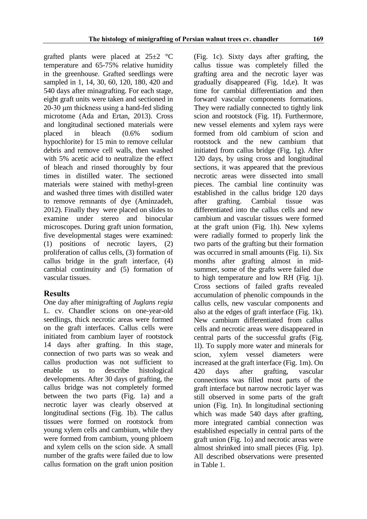grafted plants were placed at  $25\pm2$  °C temperature and 65-75% relative humidity in the greenhouse. Grafted seedlings were sampled in 1, 14, 30, 60, 120, 180, 420 and 540 days after minagrafting. For each stage, eight graft units were taken and sectioned in 20-30 μm thickness using a hand-fed sliding microtome (Ada and Ertan, 2013). Cross and longitudinal sectioned materials were placed in bleach (0.6% sodium hypochlorite) for 15 min to remove cellular debris and remove cell walls, then washed with 5% acetic acid to neutralize the effect of bleach and rinsed thoroughly by four times in distilled water. The sectioned materials were stained with methyl-green and washed three times with distilled water to remove remnants of dye (Aminzadeh, 2012). Finally they were placed on slides to examine under stereo and binocular microscopes. During graft union formation, five developmental stages were examined: (1) positions of necrotic layers, (2) proliferation of callus cells, (3) formation of callus bridge in the graft interface, (4) cambial continuity and (5) formation of vascular tissues.

# **Results**

One day after minigrafting of *Juglans regia* L. cv. Chandler scions on one-year-old seedlings, thick necrotic areas were formed on the graft interfaces. Callus cells were initiated from cambium layer of rootstock 14 days after grafting. In this stage, connection of two parts was so weak and callus production was not sufficient to enable us to describe histological developments. After 30 days of grafting, the callus bridge was not completely formed between the two parts (Fig. 1a) and a necrotic layer was clearly observed at longitudinal sections (Fig. 1b). The callus tissues were formed on rootstock from young xylem cells and cambium, while they were formed from cambium, young phloem and xylem cells on the scion side. A small number of the grafts were failed due to low callus formation on the graft union position

(Fig. 1c). Sixty days after grafting, the callus tissue was completely filled the grafting area and the necrotic layer was gradually disappeared (Fig. 1d,e). It was time for cambial differentiation and then forward vascular components formations. They were radially connected to tightly link scion and rootstock (Fig. 1f). Furthermore, new vessel elements and xylem rays were formed from old cambium of scion and rootstock and the new cambium that initiated from callus bridge (Fig. 1g). After 120 days, by using cross and longitudinal sections, it was appeared that the previous necrotic areas were dissected into small pieces. The cambial line continuity was established in the callus bridge 120 days after grafting. Cambial tissue was differentiated into the callus cells and new cambium and vascular tissues were formed at the graft union (Fig. 1h). New xylems were radially formed to properly link the two parts of the grafting but their formation was occurred in small amounts (Fig. 1i). Six months after grafting almost in midsummer, some of the grafts were failed due to high temperature and low RH (Fig. 1j). Cross sections of failed grafts revealed accumulation of phenolic compounds in the callus cells, new vascular components and also at the edges of graft interface (Fig. 1k). New cambium differentiated from callus cells and necrotic areas were disappeared in central parts of the successful grafts (Fig. 1l). To supply more water and minerals for scion, xylem vessel diameters were increased at the graft interface (Fig. 1m). On 420 days after grafting, vascular connections was filled most parts of the graft interface but narrow necrotic layer was still observed in some parts of the graft union (Fig. 1n). In longitudinal sectioning which was made 540 days after grafting, more integrated cambial connection was established especially in central parts of the graft union (Fig. 1o) and necrotic areas were almost shrinked into small pieces (Fig. 1p). All described observations were presented in Table 1.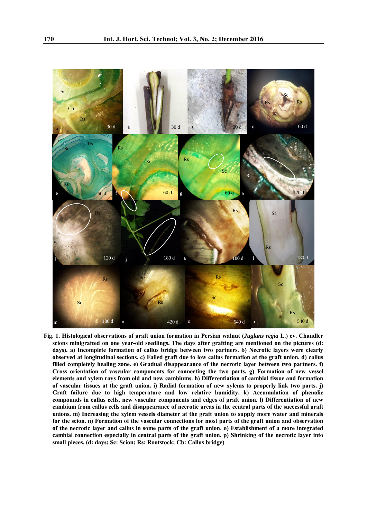

**Fig. 1. Histological observations of graft union formation in Persian walnut (***Juglans regia* **L.) cv. Chandler scions minigrafted on one year-old seedlings. The days after grafting are mentioned on the pictures (d: days). a) Incomplete formation of callus bridge between two partners. b) Necrotic layers were clearly observed at longitudinal sections. c) Failed graft due to low callus formation at the graft union. d) callus filled completely healing zone. e) Gradual disappearance of the necrotic layer between two partners. f) Cross orientation of vascular components for connecting the two parts. g) Formation of new vessel elements and xylem rays from old and new cambiums. h) Differentiation of cambial tissue and formation of vascular tissues at the graft union. i) Radial formation of new xylems to properly link two parts. j) Graft failure due to high temperature and low relative humidity. k) Accumulation of phenolic compounds in callus cells, new vascular components and edges of graft union. l) Differentiation of new cambium from callus cells and disappearance of necrotic areas in the central parts of the successful graft unions. m) Increasing the xylem vessels diameter at the graft union to supply more water and minerals for the scion. n) Formation of the vascular connections for most parts of the graft union and observation of the necrotic layer and callus in some parts of the graft union. o) Establishment of a more integrated cambial connection especially in central parts of the graft union. p) Shrinking of the necrotic layer into small pieces. (d: days; Sc: Scion; Rs: Rootstock; Cb: Callus bridge)**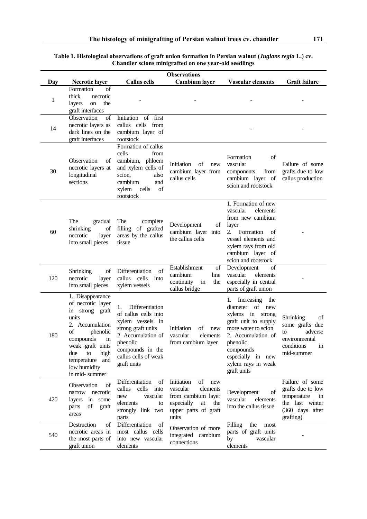**Table 1. Histological observations of graft union formation in Persian walnut (***Juglans regia* **L.) cv. Chandler scions minigrafted on one year-old seedlings** 

| <b>Observations</b> |                                                                                                                                                                                                                              |                                                                                                                                                                                      |                                                                                                                                   |                                                                                                                                                                                                                           |                                                                                                              |
|---------------------|------------------------------------------------------------------------------------------------------------------------------------------------------------------------------------------------------------------------------|--------------------------------------------------------------------------------------------------------------------------------------------------------------------------------------|-----------------------------------------------------------------------------------------------------------------------------------|---------------------------------------------------------------------------------------------------------------------------------------------------------------------------------------------------------------------------|--------------------------------------------------------------------------------------------------------------|
| Day                 | <b>Necrotic layer</b>                                                                                                                                                                                                        | <b>Callus cells</b>                                                                                                                                                                  | <b>Cambium</b> layer                                                                                                              | <b>Vascular elements</b>                                                                                                                                                                                                  | <b>Graft failure</b>                                                                                         |
| 1                   | Formation<br>of<br>thick<br>necrotic<br>the<br>on<br>layers<br>graft interfaces                                                                                                                                              |                                                                                                                                                                                      |                                                                                                                                   |                                                                                                                                                                                                                           |                                                                                                              |
| 14                  | Observation<br>of<br>necrotic layers as<br>dark lines on the<br>graft interfaces                                                                                                                                             | Initiation of first<br>callus cells from<br>cambium layer of<br>rootstock                                                                                                            |                                                                                                                                   |                                                                                                                                                                                                                           |                                                                                                              |
| 30                  | Observation<br>of<br>necrotic layers at<br>longitudinal<br>sections                                                                                                                                                          | Formation of callus<br>cells<br>from<br>cambium, phloem<br>and xylem cells of<br>scion,<br>also<br>cambium<br>and<br>xylem<br>cells<br>οf<br>rootstock                               | Initiation<br>οf<br>new<br>cambium layer from<br>callus cells                                                                     | Formation<br>οf<br>vascular<br>components<br>from<br>cambium layer of<br>scion and rootstock                                                                                                                              | Failure of some<br>grafts due to low<br>callus production                                                    |
| 60                  | The<br>gradual<br>of<br>shrinking<br>necrotic<br>layer<br>into small pieces                                                                                                                                                  | The<br>complete<br>filling of grafted<br>areas by the callus<br>tissue                                                                                                               | Development<br>of<br>cambium layer into<br>the callus cells                                                                       | 1. Formation of new<br>vascular<br>elements<br>from new cambium<br>layer<br>2. Formation<br>of<br>vessel elements and<br>xylem rays from old<br>cambium layer of<br>scion and rootstock                                   |                                                                                                              |
| 120                 | of<br>Shrinking<br>necrotic<br>layer<br>into small pieces                                                                                                                                                                    | Differentiation<br>of<br>callus<br>cells<br>into<br>xylem vessels                                                                                                                    | Establishment<br>of<br>cambium<br>line<br>continuity<br>the<br>in<br>callus bridge                                                | Development<br>of<br>vascular<br>elements<br>especially in central<br>parts of graft union                                                                                                                                |                                                                                                              |
| 180                 | 1. Disappearance<br>of necrotic layer<br>strong<br>graft<br>in<br>units<br>2. Accumulation<br>of<br>phenolic<br>compounds<br>in<br>weak graft units<br>high<br>due<br>to<br>temperature and<br>low humidity<br>in mid-summer | Differentiation<br>1.<br>of callus cells into<br>xylem vessels in<br>strong graft units<br>2. Accumulation of<br>phenolic<br>compounds in the<br>callus cells of weak<br>graft units | Initiation<br>of<br>new<br>vascular<br>elements<br>from cambium layer                                                             | 1.<br>Increasing<br>the<br>diameter<br>of new<br>xylems in strong<br>graft unit to supply<br>more water to scion<br>2. Accumulation of<br>phenolic<br>compounds<br>especially in new<br>xylem rays in weak<br>graft units | Shrinking<br>of<br>some grafts due<br>adverse<br>to<br>environmental<br>conditions<br>in<br>mid-summer       |
| 420                 | Observation<br>of<br>narrow<br>necrotic<br>layers in some<br>graft<br>parts<br>of<br>areas                                                                                                                                   | Differentiation<br>of<br>cells<br>callus<br>into<br>vascular<br>new<br>elements<br>to<br>strongly link two<br>parts                                                                  | Initiation<br>of<br>new<br>vascular<br>elements<br>from cambium layer<br>especially<br>at<br>the<br>upper parts of graft<br>units | Development<br>οf<br>vascular<br>elements<br>into the callus tissue                                                                                                                                                       | Failure of some<br>grafts due to low<br>temperature<br>in<br>the last winter<br>(360 days after<br>grafting) |
| 540                 | Destruction<br>of<br>necrotic areas in<br>the most parts of<br>graft union                                                                                                                                                   | Differentiation<br>of<br>most callus cells<br>into new vascular<br>elements                                                                                                          | Observation of more<br>integrated cambium<br>connections                                                                          | the<br>Filling<br>most<br>parts of graft units<br>vascular<br>by<br>elements                                                                                                                                              |                                                                                                              |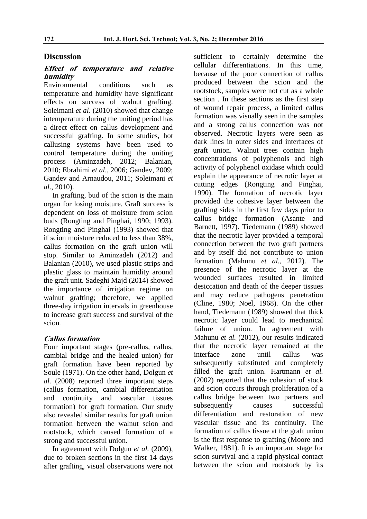# **Discussion**

#### **Effect of temperature and relative humidity**

Environmental conditions such as temperature and humidity have significant effects on success of walnut grafting. Soleimani *et al*. (2010) showed that change intemperature during the uniting period has a direct effect on callus development and successful grafting. In some studies, hot callusing systems have been used to control temperature during the uniting process (Aminzadeh, 2012; Balanian, 2010; Ebrahimi *et al*., 2006; Gandev, 2009; Gandev and Arnaudou, 2011; Soleimani *et al*., 2010).

In grafting, bud of the scion is the main organ for losing moisture. Graft success is dependent on loss of moisture from scion buds (Rongting and Pinghai, 1990; 1993). Rongting and Pinghai (1993) showed that if scion moisture reduced to less than 38%, callus formation on the graft union will stop. Similar to Aminzadeh (2012) and Balanian (2010), we used plastic strips and plastic glass to maintain humidity around the graft unit. Sadeghi Majd (2014) showed the importance of irrigation regime on walnut grafting; therefore, we applied three-day irrigation intervals in greenhouse to increase graft success and survival of the scion.

# **Callus formation**

Four important stages (pre-callus, callus, cambial bridge and the healed union) for graft formation have been reported by Soule (1971). On the other hand, Dolgun *et al.* (2008) reported three important steps (callus formation, cambial differentiation and continuity and vascular tissues formation) for graft formation. Our study also revealed similar results for graft union formation between the walnut scion and rootstock, which caused formation of a strong and successful union.

In agreement with Dolgun *et al.* (2009), due to broken sections in the first 14 days after grafting, visual observations were not sufficient to certainly determine the cellular differentiations. In this time, because of the poor connection of callus produced between the scion and the rootstock, samples were not cut as a whole section . In these sections as the first step of wound repair process, a limited callus formation was visually seen in the samples and a strong callus connection was not observed. Necrotic layers were seen as dark lines in outer sides and interfaces of graft union. Walnut trees contain high concentrations of polyphenols and high activity of polyphenol oxidase which could explain the appearance of necrotic layer at cutting edges (Rongting and Pinghai, 1990). The formation of necrotic layer provided the cohesive layer between the grafting sides in the first few days prior to callus bridge formation (Asante and Barnett, 1997). Tiedemann (1989) showed that the necrotic layer provided a temporal connection between the two graft partners and by itself did not contribute to union formation (Mahunu *et al.,* 2012). The presence of the necrotic layer at the wounded surfaces resulted in limited desiccation and death of the deeper tissues and may reduce pathogens penetration (Cline, 1980; Noel, 1968). On the other hand, Tiedemann (1989) showed that thick necrotic layer could lead to mechanical failure of union. In agreement with Mahunu *et al.* (2012), our results indicated that the necrotic layer remained at the interface zone until callus was subsequently substituted and completely filled the graft union. Hartmann *et al.* (2002) reported that the cohesion of stock and scion occurs through proliferation of a callus bridge between two partners and subsequently causes successful differentiation and restoration of new vascular tissue and its continuity. The formation of callus tissue at the graft union is the first response to grafting (Moore and Walker, 1981). It is an important stage for scion survival and a rapid physical contact between the scion and rootstock by its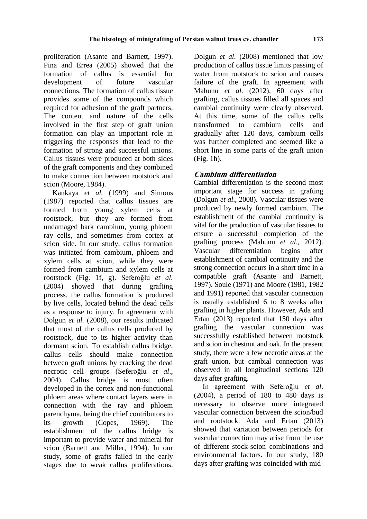proliferation (Asante and Barnett, 1997). Pina and Errea (2005) showed that the formation of callus is essential for development of future vascular connections. The formation of callus tissue provides some of the compounds which required for adhesion of the graft partners. The content and nature of the cells involved in the first step of graft union formation can play an important role in triggering the responses that lead to the formation of strong and successful unions. Callus tissues were produced at both sides of the graft components and they combined to make connection between rootstock and scion (Moore, 1984).

Kankaya *et al.* (1999) and Simons (1987) reported that callus tissues are formed from young xylem cells at rootstock, but they are formed from undamaged bark cambium, young phloem ray cells, and sometimes from cortex at scion side. In our study, callus formation was initiated from cambium, phloem and xylem cells at scion, while they were formed from cambium and xylem cells at rootstock (Fig. 1f, g). Seferoğlu *et al.* (2004) showed that during grafting process, the callus formation is produced by live cells, located behind the dead cells as a response to injury. In agreement with Dolgun *et al.* (2008), our results indicated that most of the callus cells produced by rootstock, due to its higher activity than dormant scion. To establish callus bridge, callus cells should make connection between graft unions by cracking the dead necrotic cell groups (Seferoğlu *et al*., 2004). Callus bridge is most often developed in the cortex and non-functional phloem areas where contact layers were in connection with the ray and phloem parenchyma, being the chief contributors to its growth (Copes, 1969). The establishment of the callus bridge is important to provide water and mineral for scion (Barnett and Miller, 1994). In our study, some of grafts failed in the early stages due to weak callus proliferations.

Dolgun *et al.* (2008) mentioned that low production of callus tissue limits passing of water from rootstock to scion and causes failure of the graft. In agreement with Mahunu *et al.* (2012), 60 days after grafting, callus tissues filled all spaces and cambial continuity were clearly observed. At this time, some of the callus cells transformed to cambium cells and gradually after 120 days, cambium cells was further completed and seemed like a short line in some parts of the graft union (Fig. 1h).

# **Cambium differentiation**

Cambial differentiation is the second most important stage for success in grafting (Dolgun *et al*., 2008). Vascular tissues were produced by newly formed cambium. The establishment of the cambial continuity is vital for the production of vascular tissues to ensure a successful completion of the grafting process (Mahunu *et al*., 2012). Vascular differentiation begins after establishment of cambial continuity and the strong connection occurs in a short time in a compatible graft (Asante and Barnett, 1997). Soule (1971) and Moore (1981, 1982 and 1991) reported that vascular connection is usually established 6 to 8 weeks after grafting in higher plants. However, Ada and Ertan (2013) reported that 150 days after grafting the vascular connection was successfully established between rootstock and scion in chestnut and oak. In the present study, there were a few necrotic areas at the graft union, but cambial connection was observed in all longitudinal sections 120 days after grafting.

In agreement with Seferoğlu *et al*. (2004), a period of 180 to 480 days is necessary to observe more integrated vascular connection between the scion/bud and rootstock. Ada and Ertan (2013) showed that variation between periods for vascular connection may arise from the use of different stock-scion combinations and environmental factors. In our study, 180 days after grafting was coincided with mid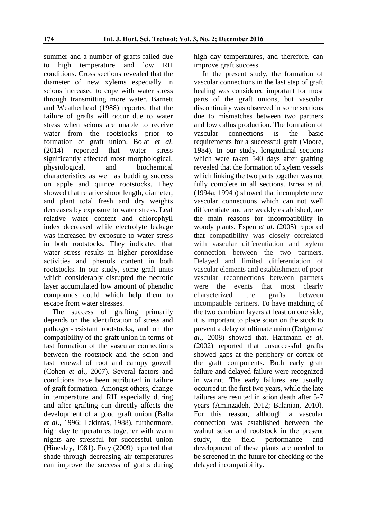summer and a number of grafts failed due to high temperature and low RH conditions. Cross sections revealed that the diameter of new xylems especially in scions increased to cope with water stress through transmitting more water. Barnett and Weatherhead (1988) reported that the failure of grafts will occur due to water stress when scions are unable to receive water from the rootstocks prior to formation of graft union. Bolat *et al.* (2014) reported that water stress significantly affected most morphological, physiological, and biochemical characteristics as well as budding success on apple and quince rootstocks. They showed that relative shoot length, diameter, and plant total fresh and dry weights decreases by exposure to water stress. Leaf relative water content and chlorophyll index decreased while electrolyte leakage was increased by exposure to water stress in both rootstocks. They indicated that water stress results in higher peroxidase activities and phenols content in both rootstocks. In our study, some graft units which considerably disrupted the necrotic layer accumulated low amount of phenolic compounds could which help them to escape from water stresses.

The success of grafting primarily depends on the identification of stress and pathogen-resistant rootstocks, and on the compatibility of the graft union in terms of fast formation of the vascular connections between the rootstock and the scion and fast renewal of root and canopy growth (Cohen *et al*., 2007). Several factors and conditions have been attributed in failure of graft formation. Amongst others, change in temperature and RH especially during and after grafting can directly affects the development of a good graft union (Balta *et al*., 1996; Tekintas, 1988), furthermore, high day temperatures together with warm nights are stressful for successful union (Hinesley, 1981). Frey (2009) reported that shade through decreasing air temperatures can improve the success of grafts during

high day temperatures, and therefore, can improve graft success.

In the present study, the formation of vascular connections in the last step of graft healing was considered important for most parts of the graft unions, but vascular discontinuity was observed in some sections due to mismatches between two partners and low callus production. The formation of vascular connections is the basic requirements for a successful graft (Moore, 1984). In our study, longitudinal sections which were taken 540 days after grafting revealed that the formation of xylem vessels which linking the two parts together was not fully complete in all sections. Errea *et al*. (1994a; 1994b) showed that incomplete new vascular connections which can not well differentiate and are weakly established, are the main reasons for incompatibility in woody plants. Espen *et al*. (2005) reported that compatibility was closely correlated with vascular differentiation and xylem connection between the two partners. Delayed and limited differentiation of vascular elements and establishment of poor vascular reconnections between partners were the events that most clearly characterized the grafts between incompatible partners. To have matching of the two cambium layers at least on one side, it is important to place scion on the stock to prevent a delay of ultimate union (Dolgun *et al.,* 2008) showed that. Hartmann *et al*. (2002) reported that unsuccessful grafts showed gaps at the periphery or cortex of the graft components. Both early graft failure and delayed failure were recognized in walnut. The early failures are usually occurred in the first two years, while the late failures are resulted in scion death after 5-7 years (Aminzadeh, 2012; Balanian, 2010). For this reason, although a vascular connection was established between the walnut scion and rootstock in the present study, the field performance and development of these plants are needed to be screened in the future for checking of the delayed incompatibility.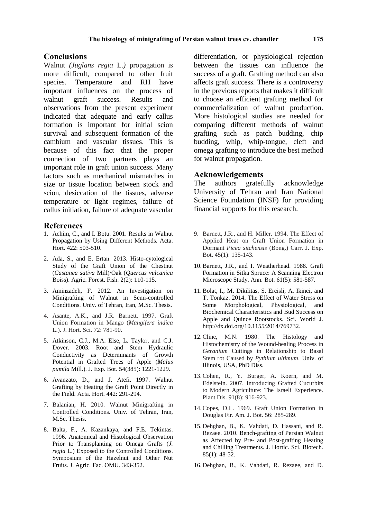#### **Conclusions**

Walnut *(Juglans regia* L.*)* propagation is more difficult, compared to other fruit species. Temperature and RH have important influences on the process of walnut graft success. Results and observations from the present experiment indicated that adequate and early callus formation is important for initial scion survival and subsequent formation of the cambium and vascular tissues. This is because of this fact that the proper connection of two partners plays an important role in graft union success. Many factors such as mechanical mismatches in size or tissue location between stock and scion, desiccation of the tissues, adverse temperature or light regimes, failure of callus initiation, failure of adequate vascular

#### **References**

- 1. Achim, C., and I. Botu. 2001. Results in Walnut Propagation by Using Different Methods. Acta. Hort. 422: 503-510.
- 2. Ada, S., and E. Ertan. 2013. Histo-cytological Study of the Graft Union of the Chestnut (*Castanea sativa* Mill)/Oak (*Quercus vulcanica* Boiss). Agric. Forest. Fish. 2(2): 110-115.
- 3. Aminzadeh, F. 2012. An Investigation on Minigrafting of Walnut in Semi-controlled Conditions. Univ. of Tehran, Iran, M.Sc. Thesis.
- 4. Asante, A.K., and J.R. Barnett. 1997. Graft Union Formation in Mango (*Mangifera indica* L.). J. Hort. Sci. 72: 781-90.
- 5. Atkinson, C.J., M.A. Else, L. Taylor, and C.J. Dover. 2003. Root and Stem Hydraulic Conductivity as Determinants of Growth Potential in Grafted Trees of Apple (*Malus pumila* Mill.). J. Exp. Bot. 54(385): 1221-1229.
- 6. Avanzato, D., and J. Atefi. 1997. Walnut Grafting by Heating the Graft Point Directly in the Field. Acta. Hort. 442: 291-294.
- 7. Balanian, H. 2010. Walnut Minigrafting in Controlled Conditions. Univ. of Tehran, Iran, M.Sc. Thesis.
- 8. Balta, F., A. Kazankaya, and F.E. Tekintas. 1996. Anatomical and Histological Observation Prior to Transplanting on Omega Grafts (*J. regia* L.) Exposed to the Controlled Conditions. Symposium of the Hazelnut and Other Nut Fruits. J. Agric. Fac. OMU. 343-352.

differentiation, or physiological rejection between the tissues can influence the success of a graft. Grafting method can also affects graft success. There is a controversy in the previous reports that makes it difficult to choose an efficient grafting method for commercialization of walnut production. More histological studies are needed for comparing different methods of walnut grafting such as patch budding, chip budding, whip, whip-tongue, cleft and omega grafting to introduce the best method for walnut propagation.

#### **Acknowledgements**

The authors gratefully acknowledge University of Tehran and Iran National Science Foundation (INSF) for providing financial supports for this research.

- 9. Barnett, J.R., and H. Miller. 1994. The Effect of Applied Heat on Graft Union Formation in Dormant *Picea sitchensis* (Bong.) Carr. J. Exp. Bot. 45(1): 135-143.
- 10.Barnett, J.R., and I. Weatherhead. 1988. Graft Formation in Sitka Spruce: A Scanning Electron Microscope Study. Ann. Bot. 61(5): 581-587.
- 11.Bolat, I., M. Dikilitas, S. Ercisli, A. Ikinci, and T. Tonkaz. 2014. The Effect of Water Stress on Some Morphological, Physiological, and Biochemical Characteristics and Bud Success on Apple and Quince Rootstocks. Sci. World J. http://dx.doi.org/10.1155/2014/769732.
- 12.Cline, M.N. 1980. The Histology and Histochemistry of the Wound-healing Process in *Geranium* Cuttings in Relationship to Basal Stem rot Caused by *Pythium ultimum*. Univ. of Illinois, USA, PhD Diss.
- 13.Cohen, R., Y. Burger, A. Koern, and M. Edelstein. 2007. Introducing Grafted Cucurbits to Modern Agriculture: The Israeli Experience. Plant Dis. 91(8): 916-923.
- 14.Copes, D.L. 1969. Graft Union Formation in Douglas Fir. Am. J. Bot. 56: 285-289.
- 15. Dehghan, B., K. Vahdati, D. Hassani, and R. Rezaee. 2010. Bench-grafting of Persian Walnut as Affected by Pre- and Post-grafting Heating and Chilling Treatments. J. Hortic. Sci. Biotech. 85(1): 48-52.
- 16. Dehghan, B., K. Vahdati, R. Rezaee, and D.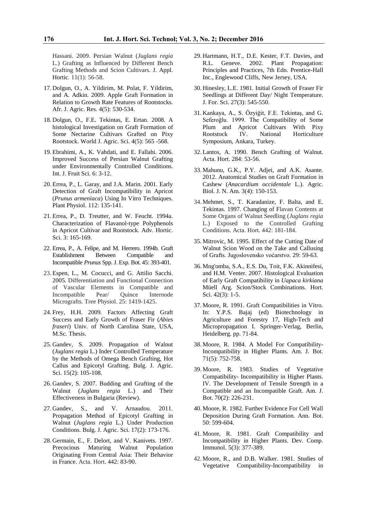Hassani. 2009. Persian Walnut (*Juglans regia* L.) Grafting as Influenced by Different Bench Grafting Methods and Scion Cultivars. J. Appl. Hortic. 11(1): 56-58.

- 17. Dolgun, O., A. Yildirim, M. Polat, F. Yildirim, and A. Adkin. 2009. Apple Graft Formation in Relation to Growth Rate Features of Rootstocks. Afr. J. Agric. Res. 4(5): 530-534.
- 18. Dolgun, O., F.E. Tekintas, E. Ertan. 2008. A histological Investigation on Graft Formation of Some Nectarine Cultivars Grafted on Pixy Rootstock. World J. Agric. Sci. 4(5): 565 -568.
- 19. Ebrahimi, A., K. Vahdati, and E. Fallahi. 2006. Improved Success of Persian Walnut Grafting under Environmentally Controlled Conditions. Int. J. Fruit Sci. 6: 3-12.
- 20. Errea, P., L. Garay, and J.A. Marin. 2001. Early Detection of Graft Incompatibility in Apricot (*Prunus armeniaca*) Using In Vitro Techniques. Plant Physiol. 112: 135-141.
- 21. Errea, P., D. Treutter, and W. Feucht. 1994a. Characterization of Flavanol-type Polyphenols in Apricot Cultivar and Rootstock. Adv. Hortic. Sci. 3: 165-169.
- 22. Errea, P., A. Felipe, and M. Herrero. 1994b. Graft Establishment Between Compatible and Incompatible *Prunus* Spp. J. Exp. Bot. 45: 393-401.
- 23. Espen, L., M. Cocucci, and G. Attilio Sacchi. 2005. Differentiation and Functional Connection of Vascular Elements in Compatible and Incompatible Pear/ Quince Internode Micrografts. Tree Physiol. 25: 1419-1425.
- 24. Frey, H.H. 2009. Factors Affecting Graft Success and Early Growth of Fraser Fir (*Abies fraseri*) Univ. of North Carolina State, USA, M.Sc. Thesis.
- 25. Gandev, S. 2009. Propagation of Walnut (*Juglans regia* L.) Inder Controlled Temperature by the Methods of Omega Bench Grafting, Hot Callus and Epicotyl Grafting. Bulg. J. Agric. Sci. 15(2): 105-108.
- 26. Gandev, S. 2007. Budding and Grafting of the Walnut (*Juglans regia* L.) and Their Effectiveness in Bulgaria (Review).
- 27. Gandev, S., and V. Arnaudou. 2011. Propagation Method of Epicotyl Grafting in Walnut (*Juglans regia* L.) Under Production Conditions. Bulg. J. Agric. Sci. 17(2): 173-176.
- 28. Germain, E., F. Delort, and V. Kanivets. 1997. Precocious Maturing Walnut Population Originating From Central Asia: Their Behavior in France. Acta. Hort. 442: 83-90.
- 29. Hartmann, H.T., D.E. Kester, F.T. Davies, and R.L. Geneve. 2002. Plant Propagation: Principles and Practices, 7th Edn. Prentice-Hall Inc., Englewood Cliffs, New Jersey, USA.
- 30. Hinesley, L.E. 1981. Initial Growth of Fraser Fir Seedlings at Different Day/ Night Temperature. J. For. Sci. 27(3): 545-550.
- 31. Kankaya, A., S. Özyiğit, F.E. Tekintaş, and G. Seferoğlu. 1999. The Compatibility of Some<br>Plum and Apricot Cultivars With Pixy Plum and Apricot Cultivars Rootstock IV. National Horticulture Symposium, Ankara, Turkey.
- 32. Lantos, A. 1990. Bench Grafting of Walnut. Acta. Hort. 284: 53-56.
- 33. Mahunu, G.K., P.Y. Adjei, and A.K. Asante. 2012. Anatomical Studies on Graft Formation in Cashew (*Anacardium occidentale* L.). Agric. Biol. J. N. Am. 3(4): 150-153.
- 34. Mehmet, S., T. Karadanize, F. Balta, and E. Tekintas. 1997. Changing of Flavan Contents at Some Organs of Walnut Seedling (*Juglans regia*  L.) Exposed to the Controlled Grafting Conditions. Acta. Hort*.* 442: 181-184.
- 35. Mitrovic, M. 1995. Effect of the Cutting Date of Walnut Scion Wood on the Take and Callusing of Grafts. Jugoslovensko voćarstvo*.* 29: 59-63.
- 36. Mng'omba, S.A., E.S. Du, Toit, F.K. Akinnifesi, and H.M. Venter. 2007. Histological Evaluation of Early Graft Compatibility in *Uapaca kirkiana* Müell Arg. Scion/Stock Combinations. Hort. Sci. 42(3): 1-5.
- 37. Moore, R. 1991. Graft Compatibilities in Vitro. In: Y.P.S. Bajaj (ed) Biotechnology in Agriculture and Forestry 17, High-Tech and Micropropagation I. Springer-Verlag, Berlin, Heidelberg. pp. 71-84.
- 38. Moore, R. 1984. A Model For Compatibility-Incompatibility in Higher Plants. Am. J. Bot. 71(5): 752-758.
- 39. Moore, R. 1983. Studies of Vegetative Compatibility- Incompatibility in Higher Plants. IV. The Development of Tensile Strength in a Compatible and an Incompatible Graft. Am. J. Bot. 70(2): 226-231.
- 40. Moore, R. 1982. Further Evidence For Cell Wall Deposition During Graft Formation. Ann. Bot. 50: 599-604.
- 41. Moore, R. 1981. Graft Compatibility and Incompatibility in Higher Plants. Dev. Comp. Immunol. 5(3): 377-389.
- 42. Moore, R., and D.B. Walker. 1981. Studies of Vegetative Compatibility-Incompatibility in